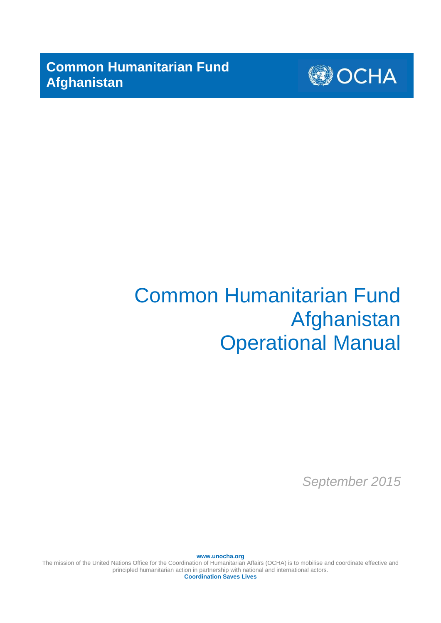**Common Humanitarian Fund Afghanistan**



# Common Humanitarian Fund Afghanistan Operational Manual

*September 2015*

**www.unocha.org**

The mission of the United Nations Office for the Coordination of Humanitarian Affairs (OCHA) is to mobilise and coordinate effective and principled humanitarian action in partnership with national and international actors. **Coordination Saves Lives**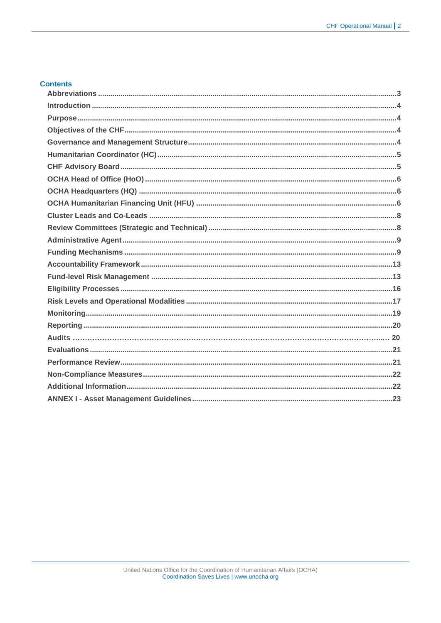# **Contents**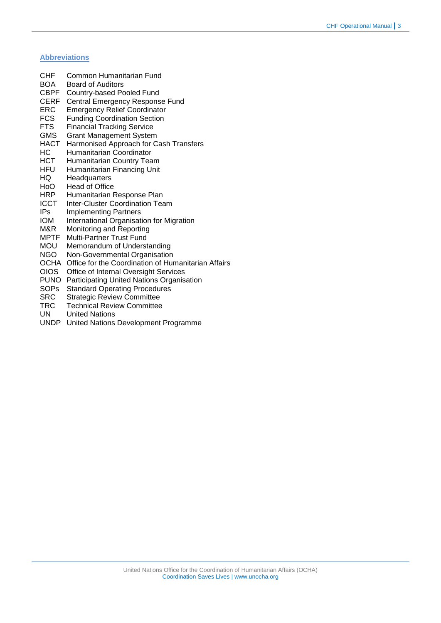# <span id="page-2-0"></span>**Abbreviations**

| CHF  | Common Humanitarian Fund                            |
|------|-----------------------------------------------------|
| BOA  | Board of Auditors                                   |
| CBPF | Country-based Pooled Fund                           |
| CERF | Central Emergency Response Fund                     |
| ERC  | <b>Emergency Relief Coordinator</b>                 |
| FCS. | <b>Funding Coordination Section</b>                 |
| FTS  | <b>Financial Tracking Service</b>                   |
| GMS. | <b>Grant Management System</b>                      |
| HACT | Harmonised Approach for Cash Transfers              |
| НC   | Humanitarian Coordinator                            |
| нст  | Humanitarian Country Team                           |
| HFU  | Humanitarian Financing Unit                         |
| HQ.  | Headquarters                                        |
| HoO  | Head of Office                                      |
| HRP. | Humanitarian Response Plan                          |
| ICCT | Inter-Cluster Coordination Team                     |
| IPs. | <b>Implementing Partners</b>                        |
| IOM  | International Organisation for Migration            |
| M&R. | Monitoring and Reporting                            |
| MPTF | <b>Multi-Partner Trust Fund</b>                     |
| mou  | Memorandum of Understanding                         |
| NGO  | Non-Governmental Organisation                       |
| ОСНА | Office for the Coordination of Humanitarian Affairs |
| OIOS | Office of Internal Oversight Services               |
| PUNO | Participating United Nations Organisation           |
| SOPs | <b>Standard Operating Procedures</b>                |
|      |                                                     |

- SRC Strategic Review Committee
- TRC Technical Review Committee<br>UN United Nations
- **United Nations**
- UNDP United Nations Development Programme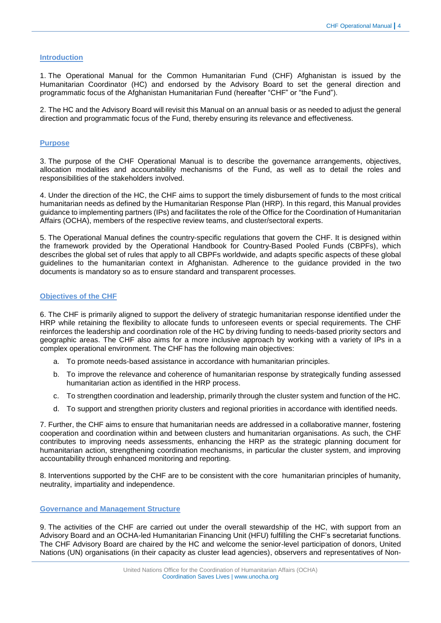#### <span id="page-3-0"></span>**Introduction**

1. The Operational Manual for the Common Humanitarian Fund (CHF) Afghanistan is issued by the Humanitarian Coordinator (HC) and endorsed by the Advisory Board to set the general direction and programmatic focus of the Afghanistan Humanitarian Fund (hereafter "CHF" or "the Fund").

2. The HC and the Advisory Board will revisit this Manual on an annual basis or as needed to adjust the general direction and programmatic focus of the Fund, thereby ensuring its relevance and effectiveness.

# <span id="page-3-1"></span>**Purpose**

3. The purpose of the CHF Operational Manual is to describe the governance arrangements, objectives, allocation modalities and accountability mechanisms of the Fund, as well as to detail the roles and responsibilities of the stakeholders involved.

4. Under the direction of the HC, the CHF aims to support the timely disbursement of funds to the most critical humanitarian needs as defined by the Humanitarian Response Plan (HRP). In this regard, this Manual provides guidance to implementing partners (IPs) and facilitates the role of the Office for the Coordination of Humanitarian Affairs (OCHA), members of the respective review teams, and cluster/sectoral experts.

5. The Operational Manual defines the country-specific regulations that govern the CHF. It is designed within the framework provided by the Operational Handbook for Country-Based Pooled Funds (CBPFs), which describes the global set of rules that apply to all CBPFs worldwide, and adapts specific aspects of these global guidelines to the humanitarian context in Afghanistan. Adherence to the guidance provided in the two documents is mandatory so as to ensure standard and transparent processes.

## <span id="page-3-2"></span>**Objectives of the CHF**

6. The CHF is primarily aligned to support the delivery of strategic humanitarian response identified under the HRP while retaining the flexibility to allocate funds to unforeseen events or special requirements. The CHF reinforces the leadership and coordination role of the HC by driving funding to needs-based priority sectors and geographic areas. The CHF also aims for a more inclusive approach by working with a variety of IPs in a complex operational environment. The CHF has the following main objectives:

- a. To promote needs-based assistance in accordance with humanitarian principles.
- b. To improve the relevance and coherence of humanitarian response by strategically funding assessed humanitarian action as identified in the HRP process.
- c. To strengthen coordination and leadership, primarily through the cluster system and function of the HC.
- d. To support and strengthen priority clusters and regional priorities in accordance with identified needs.

7. Further, the CHF aims to ensure that humanitarian needs are addressed in a collaborative manner, fostering cooperation and coordination within and between clusters and humanitarian organisations. As such, the CHF contributes to improving needs assessments, enhancing the HRP as the strategic planning document for humanitarian action, strengthening coordination mechanisms, in particular the cluster system, and improving accountability through enhanced monitoring and reporting.

8. Interventions supported by the CHF are to be consistent with the core humanitarian principles of humanity, neutrality, impartiality and independence.

#### <span id="page-3-3"></span>**Governance and Management Structure**

9. The activities of the CHF are carried out under the overall stewardship of the HC, with support from an Advisory Board and an OCHA-led Humanitarian Financing Unit (HFU) fulfilling the CHF's secretariat functions. The CHF Advisory Board are chaired by the HC and welcome the senior-level participation of donors, United Nations (UN) organisations (in their capacity as cluster lead agencies), observers and representatives of Non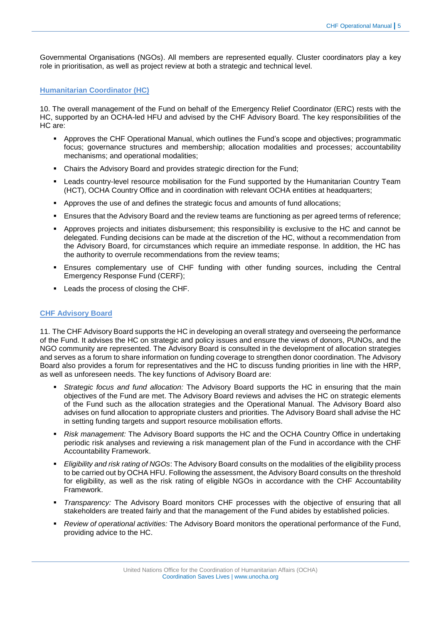Governmental Organisations (NGOs). All members are represented equally. Cluster coordinators play a key role in prioritisation, as well as project review at both a strategic and technical level.

## <span id="page-4-0"></span>**Humanitarian Coordinator (HC)**

10. The overall management of the Fund on behalf of the Emergency Relief Coordinator (ERC) rests with the HC, supported by an OCHA-led HFU and advised by the CHF Advisory Board. The key responsibilities of the HC are:

- Approves the CHF Operational Manual, which outlines the Fund's scope and objectives; programmatic focus; governance structures and membership; allocation modalities and processes; accountability mechanisms; and operational modalities;
- Chairs the Advisory Board and provides strategic direction for the Fund;
- Leads country-level resource mobilisation for the Fund supported by the Humanitarian Country Team (HCT), OCHA Country Office and in coordination with relevant OCHA entities at headquarters;
- Approves the use of and defines the strategic focus and amounts of fund allocations;
- Ensures that the Advisory Board and the review teams are functioning as per agreed terms of reference;
- Approves projects and initiates disbursement; this responsibility is exclusive to the HC and cannot be delegated. Funding decisions can be made at the discretion of the HC, without a recommendation from the Advisory Board, for circumstances which require an immediate response. In addition, the HC has the authority to overrule recommendations from the review teams;
- Ensures complementary use of CHF funding with other funding sources, including the Central Emergency Response Fund (CERF);
- **Leads the process of closing the CHF.**

# <span id="page-4-1"></span>**CHF Advisory Board**

11. The CHF Advisory Board supports the HC in developing an overall strategy and overseeing the performance of the Fund. It advises the HC on strategic and policy issues and ensure the views of donors, PUNOs, and the NGO community are represented. The Advisory Board is consulted in the development of allocation strategies and serves as a forum to share information on funding coverage to strengthen donor coordination. The Advisory Board also provides a forum for representatives and the HC to discuss funding priorities in line with the HRP, as well as unforeseen needs. The key functions of Advisory Board are:

- *Strategic focus and fund allocation:* The Advisory Board supports the HC in ensuring that the main objectives of the Fund are met. The Advisory Board reviews and advises the HC on strategic elements of the Fund such as the allocation strategies and the Operational Manual. The Advisory Board also advises on fund allocation to appropriate clusters and priorities. The Advisory Board shall advise the HC in setting funding targets and support resource mobilisation efforts.
- *Risk management:* The Advisory Board supports the HC and the OCHA Country Office in undertaking periodic risk analyses and reviewing a risk management plan of the Fund in accordance with the CHF Accountability Framework.
- *Eligibility and risk rating of NGOs*: The Advisory Board consults on the modalities of the eligibility process to be carried out by OCHA HFU. Following the assessment, the Advisory Board consults on the threshold for eligibility, as well as the risk rating of eligible NGOs in accordance with the CHF Accountability Framework.
- *Transparency:* The Advisory Board monitors CHF processes with the objective of ensuring that all stakeholders are treated fairly and that the management of the Fund abides by established policies.
- *Review of operational activities:* The Advisory Board monitors the operational performance of the Fund, providing advice to the HC.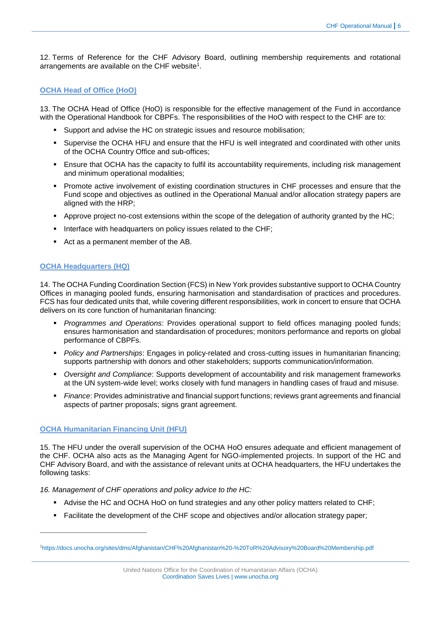12. Terms of Reference for the CHF Advisory Board, outlining membership requirements and rotational arrangements are available on the CHF website<sup>1</sup>.

# <span id="page-5-0"></span>**OCHA Head of Office (HoO)**

13. The OCHA Head of Office (HoO) is responsible for the effective management of the Fund in accordance with the Operational Handbook for CBPFs. The responsibilities of the HoO with respect to the CHF are to:

- Support and advise the HC on strategic issues and resource mobilisation;
- Supervise the OCHA HFU and ensure that the HFU is well integrated and coordinated with other units of the OCHA Country Office and sub-offices;
- Ensure that OCHA has the capacity to fulfil its accountability requirements, including risk management and minimum operational modalities;
- **Promote active involvement of existing coordination structures in CHF processes and ensure that the** Fund scope and objectives as outlined in the Operational Manual and/or allocation strategy papers are aligned with the HRP;
- Approve project no-cost extensions within the scope of the delegation of authority granted by the HC;
- Interface with headquarters on policy issues related to the CHF;
- Act as a permanent member of the AB.

# <span id="page-5-1"></span>**OCHA Headquarters (HQ)**

14. The OCHA Funding Coordination Section (FCS) in New York provides substantive support to OCHA Country Offices in managing pooled funds, ensuring harmonisation and standardisation of practices and procedures. FCS has four dedicated units that, while covering different responsibilities, work in concert to ensure that OCHA delivers on its core function of humanitarian financing:

- *Programmes and Operations*: Provides operational support to field offices managing pooled funds; ensures harmonisation and standardisation of procedures; monitors performance and reports on global performance of CBPFs.
- *Policy and Partnerships*: Engages in policy-related and cross-cutting issues in humanitarian financing; supports partnership with donors and other stakeholders; supports communication/information.
- *Oversight and Compliance*: Supports development of accountability and risk management frameworks at the UN system-wide level; works closely with fund managers in handling cases of fraud and misuse.
- *Finance*: Provides administrative and financial support functions; reviews grant agreements and financial aspects of partner proposals; signs grant agreement.

# <span id="page-5-2"></span>**OCHA Humanitarian Financing Unit (HFU)**

-

15. The HFU under the overall supervision of the OCHA HoO ensures adequate and efficient management of the CHF. OCHA also acts as the Managing Agent for NGO-implemented projects. In support of the HC and CHF Advisory Board, and with the assistance of relevant units at OCHA headquarters, the HFU undertakes the following tasks:

*16. Management of CHF operations and policy advice to the HC:*

- Advise the HC and OCHA HoO on fund strategies and any other policy matters related to CHF;
- Facilitate the development of the CHF scope and objectives and/or allocation strategy paper:

<sup>1</sup><https://docs.unocha.org/sites/dms/Afghanistan/CHF%20Afghanistan%20-%20ToR%20Advisory%20Board%20Membership.pdf>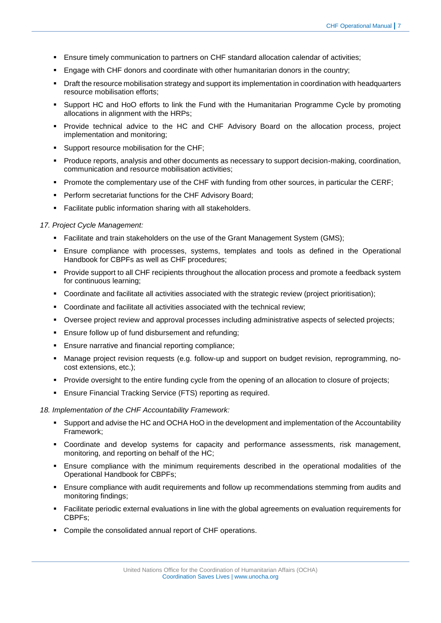- Ensure timely communication to partners on CHF standard allocation calendar of activities;
- Engage with CHF donors and coordinate with other humanitarian donors in the country;
- **Draft the resource mobilisation strategy and support its implementation in coordination with headquarters** resource mobilisation efforts;
- Support HC and HoO efforts to link the Fund with the Humanitarian Programme Cycle by promoting allocations in alignment with the HRPs;
- Provide technical advice to the HC and CHF Advisory Board on the allocation process, project implementation and monitoring;
- Support resource mobilisation for the CHF;
- Produce reports, analysis and other documents as necessary to support decision-making, coordination, communication and resource mobilisation activities;
- **Promote the complementary use of the CHF with funding from other sources, in particular the CERF;**
- Perform secretariat functions for the CHF Advisory Board;
- Facilitate public information sharing with all stakeholders.

## *17. Project Cycle Management:*

- Facilitate and train stakeholders on the use of the Grant Management System (GMS);
- Ensure compliance with processes, systems, templates and tools as defined in the Operational Handbook for CBPFs as well as CHF procedures;
- Provide support to all CHF recipients throughout the allocation process and promote a feedback system for continuous learning;
- Coordinate and facilitate all activities associated with the strategic review (project prioritisation);
- Coordinate and facilitate all activities associated with the technical review;
- Oversee project review and approval processes including administrative aspects of selected projects;
- **Ensure follow up of fund disbursement and refunding;**
- Ensure narrative and financial reporting compliance;
- Manage project revision requests (e.g. follow-up and support on budget revision, reprogramming, nocost extensions, etc.);
- **Provide oversight to the entire funding cycle from the opening of an allocation to closure of projects;**
- **Ensure Financial Tracking Service (FTS) reporting as required.**

#### *18. Implementation of the CHF Accountability Framework:*

- Support and advise the HC and OCHA HoO in the development and implementation of the Accountability Framework;
- Coordinate and develop systems for capacity and performance assessments, risk management, monitoring, and reporting on behalf of the HC;
- Ensure compliance with the minimum requirements described in the operational modalities of the Operational Handbook for CBPFs;
- Ensure compliance with audit requirements and follow up recommendations stemming from audits and monitoring findings;
- Facilitate periodic external evaluations in line with the global agreements on evaluation requirements for CBPFs;
- Compile the consolidated annual report of CHF operations.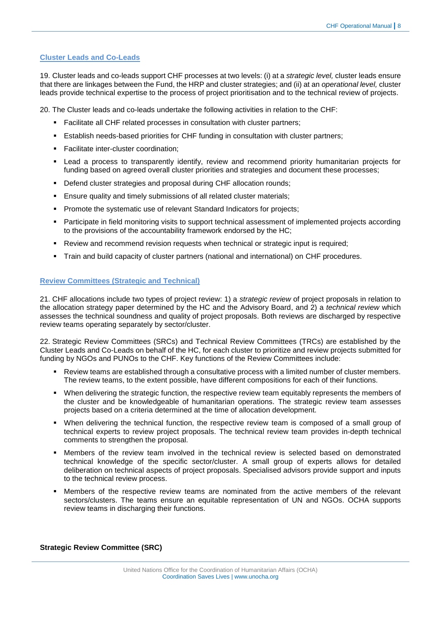## <span id="page-7-0"></span>**Cluster Leads and Co-Leads**

19. Cluster leads and co-leads support CHF processes at two levels: (i) at a *strategic level,* cluster leads ensure that there are linkages between the Fund, the HRP and cluster strategies; and (ii) at an *operational level,* cluster leads provide technical expertise to the process of project prioritisation and to the technical review of projects.

20. The Cluster leads and co-leads undertake the following activities in relation to the CHF:

- Facilitate all CHF related processes in consultation with cluster partners;
- Establish needs-based priorities for CHF funding in consultation with cluster partners;
- **Facilitate inter-cluster coordination;**
- Lead a process to transparently identify, review and recommend priority humanitarian projects for funding based on agreed overall cluster priorities and strategies and document these processes;
- Defend cluster strategies and proposal during CHF allocation rounds;
- Ensure quality and timely submissions of all related cluster materials;
- **Promote the systematic use of relevant Standard Indicators for projects:**
- Participate in field monitoring visits to support technical assessment of implemented projects according to the provisions of the accountability framework endorsed by the HC;
- Review and recommend revision requests when technical or strategic input is required;
- Train and build capacity of cluster partners (national and international) on CHF procedures.

#### <span id="page-7-1"></span>**Review Committees (Strategic and Technical)**

21. CHF allocations include two types of project review: 1) a *strategic review* of project proposals in relation to the allocation strategy paper determined by the HC and the Advisory Board, and 2) a *technical review* which assesses the technical soundness and quality of project proposals. Both reviews are discharged by respective review teams operating separately by sector/cluster.

22. Strategic Review Committees (SRCs) and Technical Review Committees (TRCs) are established by the Cluster Leads and Co-Leads on behalf of the HC, for each cluster to prioritize and review projects submitted for funding by NGOs and PUNOs to the CHF. Key functions of the Review Committees include:

- Review teams are established through a consultative process with a limited number of cluster members. The review teams, to the extent possible, have different compositions for each of their functions.
- When delivering the strategic function, the respective review team equitably represents the members of the cluster and be knowledgeable of humanitarian operations. The strategic review team assesses projects based on a criteria determined at the time of allocation development.
- When delivering the technical function, the respective review team is composed of a small group of technical experts to review project proposals. The technical review team provides in-depth technical comments to strengthen the proposal.
- Members of the review team involved in the technical review is selected based on demonstrated technical knowledge of the specific sector/cluster. A small group of experts allows for detailed deliberation on technical aspects of project proposals. Specialised advisors provide support and inputs to the technical review process.
- Members of the respective review teams are nominated from the active members of the relevant sectors/clusters. The teams ensure an equitable representation of UN and NGOs. OCHA supports review teams in discharging their functions.

**Strategic Review Committee (SRC)**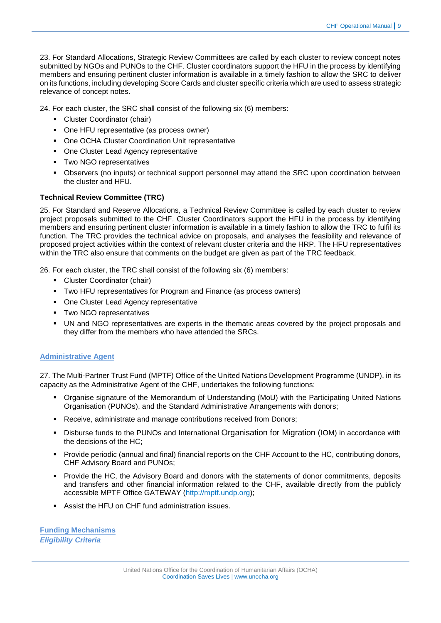23. For Standard Allocations, Strategic Review Committees are called by each cluster to review concept notes submitted by NGOs and PUNOs to the CHF. Cluster coordinators support the HFU in the process by identifying members and ensuring pertinent cluster information is available in a timely fashion to allow the SRC to deliver on its functions, including developing Score Cards and cluster specific criteria which are used to assess strategic relevance of concept notes.

24. For each cluster, the SRC shall consist of the following six (6) members:

- Cluster Coordinator (chair)
- One HFU representative (as process owner)
- One OCHA Cluster Coordination Unit representative
- One Cluster Lead Agency representative
- **Two NGO representatives**
- Observers (no inputs) or technical support personnel may attend the SRC upon coordination between the cluster and HFU.

# **Technical Review Committee (TRC)**

25. For Standard and Reserve Allocations, a Technical Review Committee is called by each cluster to review project proposals submitted to the CHF. Cluster Coordinators support the HFU in the process by identifying members and ensuring pertinent cluster information is available in a timely fashion to allow the TRC to fulfil its function. The TRC provides the technical advice on proposals, and analyses the feasibility and relevance of proposed project activities within the context of relevant cluster criteria and the HRP. The HFU representatives within the TRC also ensure that comments on the budget are given as part of the TRC feedback.

26. For each cluster, the TRC shall consist of the following six (6) members:

- **-** Cluster Coordinator (chair)
- Two HFU representatives for Program and Finance (as process owners)
- One Cluster Lead Agency representative
- **Two NGO representatives**
- UN and NGO representatives are experts in the thematic areas covered by the project proposals and they differ from the members who have attended the SRCs.

# <span id="page-8-0"></span>**Administrative Agent**

27. The Multi-Partner Trust Fund (MPTF) Office of the United Nations Development Programme (UNDP), in its capacity as the Administrative Agent of the CHF, undertakes the following functions:

- Organise signature of the Memorandum of Understanding (MoU) with the Participating United Nations Organisation (PUNOs), and the Standard Administrative Arrangements with donors;
- **Receive, administrate and manage contributions received from Donors:**
- Disburse funds to the PUNOs and International Organisation for Migration (IOM) in accordance with the decisions of the HC;
- Provide periodic (annual and final) financial reports on the CHF Account to the HC, contributing donors, CHF Advisory Board and PUNOs;
- **Provide the HC, the Advisory Board and donors with the statements of donor commitments, deposits** and transfers and other financial information related to the CHF, available directly from the publicly accessible MPTF Office GATEWAY [\(http://mptf.undp.org\)](http://mptf.undp.org/);
- Assist the HFU on CHF fund administration issues.

<span id="page-8-1"></span>**Funding Mechanisms** *Eligibility Criteria*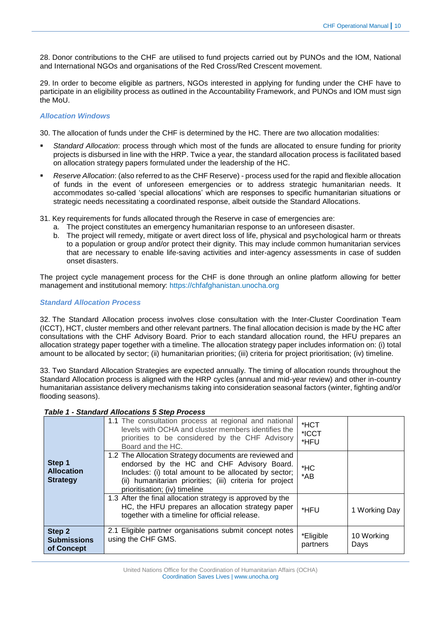28. Donor contributions to the CHF are utilised to fund projects carried out by PUNOs and the IOM, National and International NGOs and organisations of the Red Cross/Red Crescent movement.

29. In order to become eligible as partners, NGOs interested in applying for funding under the CHF have to participate in an eligibility process as outlined in the Accountability Framework, and PUNOs and IOM must sign the MoU.

## *Allocation Windows*

30. The allocation of funds under the CHF is determined by the HC. There are two allocation modalities:

- *Standard Allocation*: process through which most of the funds are allocated to ensure funding for priority projects is disbursed in line with the HRP. Twice a year, the standard allocation process is facilitated based on allocation strategy papers formulated under the leadership of the HC.
- *Reserve Allocation*: (also referred to as the CHF Reserve) process used for the rapid and flexible allocation of funds in the event of unforeseen emergencies or to address strategic humanitarian needs. It accommodates so-called 'special allocations' which are responses to specific humanitarian situations or strategic needs necessitating a coordinated response, albeit outside the Standard Allocations.
- 31. Key requirements for funds allocated through the Reserve in case of emergencies are:
	- a. The project constitutes an emergency humanitarian response to an unforeseen disaster.
	- b. The project will remedy, mitigate or avert direct loss of life, physical and psychological harm or threats to a population or group and/or protect their dignity. This may include common humanitarian services that are necessary to enable life-saving activities and inter-agency assessments in case of sudden onset disasters.

The project cycle management process for the CHF is done through an online platform allowing for better management and institutional memory: [https://chfafghanistan.unocha.org](https://chfafghanistan.unocha.org/)

#### *Standard Allocation Process*

32. The Standard Allocation process involves close consultation with the Inter-Cluster Coordination Team (ICCT), HCT, cluster members and other relevant partners. The final allocation decision is made by the HC after consultations with the CHF Advisory Board. Prior to each standard allocation round, the HFU prepares an allocation strategy paper together with a timeline. The allocation strategy paper includes information on: (i) total amount to be allocated by sector; (ii) humanitarian priorities; (iii) criteria for project prioritisation; (iv) timeline.

33. Two Standard Allocation Strategies are expected annually. The timing of allocation rounds throughout the Standard Allocation process is aligned with the HRP cycles (annual and mid-year review) and other in-country humanitarian assistance delivery mechanisms taking into consideration seasonal factors (winter, fighting and/or flooding seasons).

# *Table 1 - Standard Allocations 5 Step Process*

| <b>Strategy</b><br>Step 2   | (ii) humanitarian priorities; (iii) criteria for project<br>prioritisation; (iv) timeline<br>1.3 After the final allocation strategy is approved by the<br>HC, the HFU prepares an allocation strategy paper<br>together with a timeline for official release.<br>2.1 Eligible partner organisations submit concept notes<br>using the CHF GMS. | $*$ AB<br>*HFU<br>*Eligible | 1 Working Day<br>10 Working |
|-----------------------------|-------------------------------------------------------------------------------------------------------------------------------------------------------------------------------------------------------------------------------------------------------------------------------------------------------------------------------------------------|-----------------------------|-----------------------------|
| Step 1<br><b>Allocation</b> | Board and the HC.<br>1.2 The Allocation Strategy documents are reviewed and<br>endorsed by the HC and CHF Advisory Board.<br>Includes: (i) total amount to be allocated by sector;                                                                                                                                                              | *HFU<br>$*$ HC              |                             |
|                             | 1.1 The consultation process at regional and national<br>levels with OCHA and cluster members identifies the<br>priorities to be considered by the CHF Advisory                                                                                                                                                                                 | *HCT<br>*ICCT               |                             |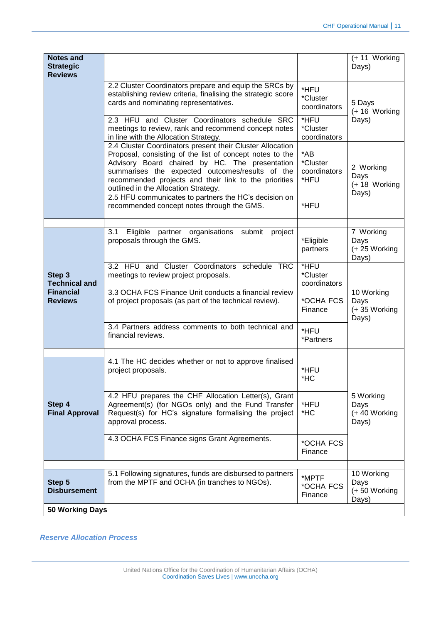| <b>Notes and</b><br><b>Strategic</b><br><b>Reviews</b>               |                                                                                                                                                                                                                                                                                                                             |                                             | $(+ 11$ Working<br>Days)                    |  |
|----------------------------------------------------------------------|-----------------------------------------------------------------------------------------------------------------------------------------------------------------------------------------------------------------------------------------------------------------------------------------------------------------------------|---------------------------------------------|---------------------------------------------|--|
|                                                                      | 2.2 Cluster Coordinators prepare and equip the SRCs by<br>establishing review criteria, finalising the strategic score<br>cards and nominating representatives.                                                                                                                                                             | *HFU<br>*Cluster<br>coordinators            | 5 Days<br>(+16 Working                      |  |
|                                                                      | 2.3 HFU and Cluster Coordinators schedule SRC<br>meetings to review, rank and recommend concept notes<br>in line with the Allocation Strategy.                                                                                                                                                                              | *HFU<br>*Cluster<br>coordinators            | Days)                                       |  |
|                                                                      | 2.4 Cluster Coordinators present their Cluster Allocation<br>Proposal, consisting of the list of concept notes to the<br>Advisory Board chaired by HC. The presentation<br>summarises the expected outcomes/results of the<br>recommended projects and their link to the priorities<br>outlined in the Allocation Strategy. | $*$ AB<br>*Cluster<br>coordinators<br>*HFU  | 2 Working<br>Days<br>(+18 Working           |  |
|                                                                      | 2.5 HFU communicates to partners the HC's decision on<br>recommended concept notes through the GMS.                                                                                                                                                                                                                         | *HFU                                        | Days)                                       |  |
|                                                                      |                                                                                                                                                                                                                                                                                                                             |                                             |                                             |  |
|                                                                      | Eligible partner organisations submit<br>3.1<br>project<br>proposals through the GMS.                                                                                                                                                                                                                                       | *Eligible<br>partners                       | 7 Working<br>Days<br>(+25 Working<br>Days)  |  |
| Step 3<br><b>Technical and</b><br><b>Financial</b><br><b>Reviews</b> | 3.2 HFU and Cluster Coordinators schedule TRC<br>meetings to review project proposals.                                                                                                                                                                                                                                      | *HFU<br>*Cluster<br>coordinators            |                                             |  |
|                                                                      | 3.3 OCHA FCS Finance Unit conducts a financial review<br>of project proposals (as part of the technical review).                                                                                                                                                                                                            | *OCHA FCS<br>Finance                        | 10 Working<br>Days<br>(+35 Working<br>Days) |  |
|                                                                      | 3.4 Partners address comments to both technical and<br>financial reviews.                                                                                                                                                                                                                                                   | *HFU<br>*Partners                           |                                             |  |
|                                                                      | 4.1 The HC decides whether or not to approve finalised                                                                                                                                                                                                                                                                      |                                             |                                             |  |
|                                                                      | project proposals.                                                                                                                                                                                                                                                                                                          | *HFU<br>*HC                                 |                                             |  |
| Step 4<br><b>Final Approval</b>                                      | 4.2 HFU prepares the CHF Allocation Letter(s), Grant<br>Agreement(s) (for NGOs only) and the Fund Transfer<br>Request(s) for HC's signature formalising the project<br>approval process.                                                                                                                                    | *HFU<br>$*$ HC                              | 5 Working<br>Days<br>(+40 Working<br>Days)  |  |
|                                                                      | 4.3 OCHA FCS Finance signs Grant Agreements.                                                                                                                                                                                                                                                                                | *OCHA FCS<br>Finance                        |                                             |  |
|                                                                      |                                                                                                                                                                                                                                                                                                                             |                                             |                                             |  |
| Step 5<br><b>Disbursement</b>                                        | 5.1 Following signatures, funds are disbursed to partners<br>from the MPTF and OCHA (in tranches to NGOs).                                                                                                                                                                                                                  | 10 Working<br>Days<br>(+50 Working<br>Days) |                                             |  |
| 50 Working Days                                                      |                                                                                                                                                                                                                                                                                                                             |                                             |                                             |  |
|                                                                      |                                                                                                                                                                                                                                                                                                                             |                                             |                                             |  |

*Reserve Allocation Process*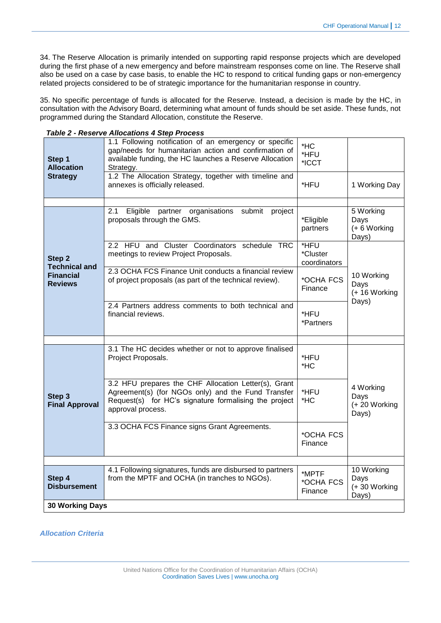34. The Reserve Allocation is primarily intended on supporting rapid response projects which are developed during the first phase of a new emergency and before mainstream responses come on line. The Reserve shall also be used on a case by case basis, to enable the HC to respond to critical funding gaps or non-emergency related projects considered to be of strategic importance for the humanitarian response in country.

35. No specific percentage of funds is allocated for the Reserve. Instead, a decision is made by the HC, in consultation with the Advisory Board, determining what amount of funds should be set aside. These funds, not programmed during the Standard Allocation, constitute the Reserve.

| Step 1<br><b>Allocation</b>               | 1.1 Following notification of an emergency or specific<br>gap/needs for humanitarian action and confirmation of<br>available funding, the HC launches a Reserve Allocation<br>Strategy.  | *HC<br>*HFU<br>*ICCT             |                                             |  |  |  |
|-------------------------------------------|------------------------------------------------------------------------------------------------------------------------------------------------------------------------------------------|----------------------------------|---------------------------------------------|--|--|--|
| <b>Strategy</b>                           | 1.2 The Allocation Strategy, together with timeline and<br>annexes is officially released.                                                                                               | *HFU                             | 1 Working Day                               |  |  |  |
|                                           |                                                                                                                                                                                          |                                  |                                             |  |  |  |
|                                           | Eligible<br>partner organisations submit<br>2.1<br>project<br>proposals through the GMS.                                                                                                 | *Eligible<br>partners            | 5 Working<br>Days<br>(+6 Working<br>Days)   |  |  |  |
| Step <sub>2</sub><br><b>Technical and</b> | 2.2 HFU and Cluster Coordinators schedule TRC<br>meetings to review Project Proposals.                                                                                                   | *HFU<br>*Cluster<br>coordinators |                                             |  |  |  |
| <b>Financial</b><br><b>Reviews</b>        | 2.3 OCHA FCS Finance Unit conducts a financial review<br>of project proposals (as part of the technical review).                                                                         | *OCHA FCS<br>Finance             | 10 Working<br>Days<br>(+16 Working<br>Days) |  |  |  |
|                                           | 2.4 Partners address comments to both technical and<br>financial reviews.                                                                                                                | *HFU<br>*Partners                |                                             |  |  |  |
|                                           |                                                                                                                                                                                          |                                  |                                             |  |  |  |
| Step 3<br><b>Final Approval</b>           | 3.1 The HC decides whether or not to approve finalised<br>Project Proposals.                                                                                                             | *HFU<br>*HC                      | 4 Working<br>Days<br>(+20 Working<br>Days)  |  |  |  |
|                                           | 3.2 HFU prepares the CHF Allocation Letter(s), Grant<br>Agreement(s) (for NGOs only) and the Fund Transfer<br>Request(s) for HC's signature formalising the project<br>approval process. | *HFU<br>*HC                      |                                             |  |  |  |
|                                           | 3.3 OCHA FCS Finance signs Grant Agreements.                                                                                                                                             | *OCHA FCS<br>Finance             |                                             |  |  |  |
|                                           |                                                                                                                                                                                          |                                  |                                             |  |  |  |
| Step 4<br><b>Disbursement</b>             | 4.1 Following signatures, funds are disbursed to partners<br>from the MPTF and OCHA (in tranches to NGOs).                                                                               | *MPTF<br>*OCHA FCS<br>Finance    | 10 Working<br>Days<br>(+30 Working<br>Days) |  |  |  |
| <b>30 Working Days</b>                    |                                                                                                                                                                                          |                                  |                                             |  |  |  |

#### *Table 2 - Reserve Allocations 4 Step Process*

*Allocation Criteria*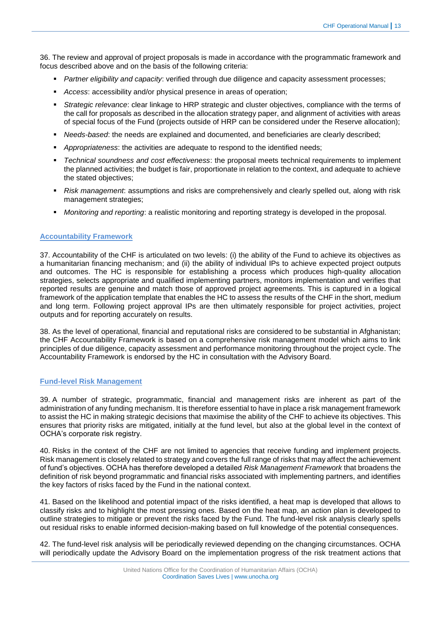36. The review and approval of project proposals is made in accordance with the programmatic framework and focus described above and on the basis of the following criteria:

- **Partner eligibility and capacity: verified through due diligence and capacity assessment processes;**
- *Access*: accessibility and/or physical presence in areas of operation;
- *Strategic relevance*: clear linkage to HRP strategic and cluster objectives, compliance with the terms of the call for proposals as described in the allocation strategy paper, and alignment of activities with areas of special focus of the Fund (projects outside of HRP can be considered under the Reserve allocation);
- *Needs-based*: the needs are explained and documented, and beneficiaries are clearly described;
- *Appropriateness*: the activities are adequate to respond to the identified needs;
- *Technical soundness and cost effectiveness*: the proposal meets technical requirements to implement the planned activities; the budget is fair, proportionate in relation to the context, and adequate to achieve the stated objectives;
- *Risk management*: assumptions and risks are comprehensively and clearly spelled out, along with risk management strategies;
- *Monitoring and reporting*: a realistic monitoring and reporting strategy is developed in the proposal.

## <span id="page-12-0"></span>**Accountability Framework**

37. Accountability of the CHF is articulated on two levels: (i) the ability of the Fund to achieve its objectives as a humanitarian financing mechanism; and (ii) the ability of individual IPs to achieve expected project outputs and outcomes. The HC is responsible for establishing a process which produces high-quality allocation strategies, selects appropriate and qualified implementing partners, monitors implementation and verifies that reported results are genuine and match those of approved project agreements. This is captured in a logical framework of the application template that enables the HC to assess the results of the CHF in the short, medium and long term. Following project approval IPs are then ultimately responsible for project activities, project outputs and for reporting accurately on results.

38. As the level of operational, financial and reputational risks are considered to be substantial in Afghanistan; the CHF Accountability Framework is based on a comprehensive risk management model which aims to link principles of due diligence, capacity assessment and performance monitoring throughout the project cycle. The Accountability Framework is endorsed by the HC in consultation with the Advisory Board.

#### <span id="page-12-1"></span>**Fund-level Risk Management**

39. A number of strategic, programmatic, financial and management risks are inherent as part of the administration of any funding mechanism. It is therefore essential to have in place a risk management framework to assist the HC in making strategic decisions that maximise the ability of the CHF to achieve its objectives. This ensures that priority risks are mitigated, initially at the fund level, but also at the global level in the context of OCHA's corporate risk registry.

40. Risks in the context of the CHF are not limited to agencies that receive funding and implement projects. Risk management is closely related to strategy and covers the full range of risks that may affect the achievement of fund's objectives. OCHA has therefore developed a detailed *Risk Management Framework* that broadens the definition of risk beyond programmatic and financial risks associated with implementing partners, and identifies the key factors of risks faced by the Fund in the national context.

41. Based on the likelihood and potential impact of the risks identified, a heat map is developed that allows to classify risks and to highlight the most pressing ones. Based on the heat map, an action plan is developed to outline strategies to mitigate or prevent the risks faced by the Fund. The fund-level risk analysis clearly spells out residual risks to enable informed decision-making based on full knowledge of the potential consequences.

42. The fund-level risk analysis will be periodically reviewed depending on the changing circumstances. OCHA will periodically update the Advisory Board on the implementation progress of the risk treatment actions that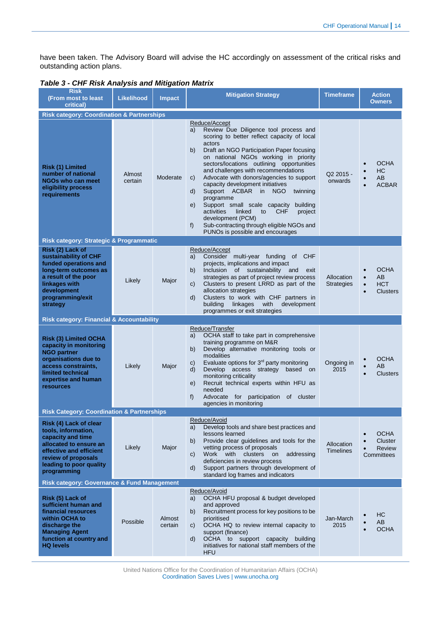have been taken. The Advisory Board will advise the HC accordingly on assessment of the critical risks and outstanding action plans.

| <b>Table 3 - CHF Risk Analysis and Mitigation Matrix</b> |  |
|----------------------------------------------------------|--|
|----------------------------------------------------------|--|

| <b>Risk</b><br>(From most to least)<br>critical)                                                                                                                                            | <b>Likelihood</b> | <b>Impact</b>     | <b>Mitigation Strategy</b>                                                                                                                                                                                                                                                                                                                                                                                                                                                                                                                                                                                                                                             | <b>Timeframe</b><br><b>Action</b><br><b>Owners</b> |                                                                              |  |
|---------------------------------------------------------------------------------------------------------------------------------------------------------------------------------------------|-------------------|-------------------|------------------------------------------------------------------------------------------------------------------------------------------------------------------------------------------------------------------------------------------------------------------------------------------------------------------------------------------------------------------------------------------------------------------------------------------------------------------------------------------------------------------------------------------------------------------------------------------------------------------------------------------------------------------------|----------------------------------------------------|------------------------------------------------------------------------------|--|
| <b>Risk category: Coordination &amp; Partnerships</b>                                                                                                                                       |                   |                   |                                                                                                                                                                                                                                                                                                                                                                                                                                                                                                                                                                                                                                                                        |                                                    |                                                                              |  |
| Risk (1) Limited<br>number of national<br><b>NGOs who can meet</b><br>eligibility process<br>requirements                                                                                   | Almost<br>certain | Moderate          | Reduce/Accept<br>Review Due Diligence tool process and<br>a)<br>scoring to better reflect capacity of local<br>actors<br>b)<br>Draft an NGO Participation Paper focusing<br>on national NGOs working in priority<br>sectors/locations outlining opportunities<br>and challenges with recommendations<br>Advocate with donors/agencies to support<br>C)<br>capacity development initiatives<br>Support ACBAR in NGO<br>d)<br>twinning<br>programme<br>Support small scale capacity<br>building<br>e)<br>linked<br>activities<br>to<br><b>CHF</b><br>project<br>development (PCM)<br>Sub-contracting through eligible NGOs and<br>f)<br>PUNOs is possible and encourages | Q2 2015 -<br>onwards                               | <b>OCHA</b><br>НC<br>AB<br>$\bullet$<br><b>ACBAR</b>                         |  |
| Risk category: Strategic & Programmatic                                                                                                                                                     |                   |                   |                                                                                                                                                                                                                                                                                                                                                                                                                                                                                                                                                                                                                                                                        |                                                    |                                                                              |  |
| Risk (2) Lack of<br>sustainability of CHF<br>funded operations and<br>long-term outcomes as<br>a result of the poor<br>linkages with<br>development<br>programming/exit<br>strategy         | Likely            | Major             | Reduce/Accept<br>Consider multi-year funding of CHF<br>a)<br>projects, implications and impact<br>Inclusion of sustainability and<br>b)<br>exit<br>strategies as part of project review process<br>Clusters to present LRRD as part of the<br>C)<br>allocation strategies<br>Clusters to work with CHF partners in<br>d)<br>with<br>development<br>building<br>linkages<br>programmes or exit strategies                                                                                                                                                                                                                                                               | Allocation<br><b>Strategies</b>                    | <b>OCHA</b><br>AB<br>$\bullet$<br><b>HCT</b><br>$\bullet$<br><b>Clusters</b> |  |
| <b>Risk category: Financial &amp; Accountability</b>                                                                                                                                        |                   |                   |                                                                                                                                                                                                                                                                                                                                                                                                                                                                                                                                                                                                                                                                        |                                                    |                                                                              |  |
| <b>Risk (3) Limited OCHA</b><br>capacity in monitoring<br><b>NGO partner</b><br>organisations due to<br>access constraints,<br>limited technical<br>expertise and human<br><b>resources</b> | Likely            | Major             | Reduce/Transfer<br>OCHA staff to take part in comprehensive<br>a)<br>training programme on M&R<br>Develop alternative monitoring tools or<br>b)<br>modalities<br>Evaluate options for $3rd$ party monitoring<br>C)<br>Develop access strategy<br>d)<br>based on<br>monitoring criticality<br>Recruit technical experts within HFU as<br>e)<br>needed<br>f)<br>Advocate for participation of cluster<br>agencies in monitoring                                                                                                                                                                                                                                          | Ongoing in<br>2015                                 | <b>OCHA</b><br>AB<br><b>Clusters</b>                                         |  |
| <b>Risk Category: Coordination &amp; Partnerships</b>                                                                                                                                       |                   |                   |                                                                                                                                                                                                                                                                                                                                                                                                                                                                                                                                                                                                                                                                        |                                                    |                                                                              |  |
| Risk (4) Lack of clear<br>tools, information,<br>capacity and time<br>allocated to ensure an<br>effective and efficient<br>review of proposals<br>leading to poor quality<br>programming    | Likely            | Major             | Reduce/Avoid<br>Develop tools and share best practices and<br>a)<br>lessons learned<br>Provide clear guidelines and tools for the<br>b)<br>vetting process of proposals<br>Work with clusters<br>addressing<br>C)<br>on<br>deficiencies in review process<br>Support partners through development of<br>d)<br>standard log frames and indicators                                                                                                                                                                                                                                                                                                                       | Allocation<br>Timelines                            | <b>OCHA</b><br>Cluster<br><b>Review</b><br>Committees                        |  |
| Risk category: Governance & Fund Management                                                                                                                                                 |                   |                   |                                                                                                                                                                                                                                                                                                                                                                                                                                                                                                                                                                                                                                                                        |                                                    |                                                                              |  |
| Risk (5) Lack of<br>sufficient human and<br>financial resources<br>within OCHA to<br>discharge the<br><b>Managing Agent</b><br>function at country and<br><b>HQ levels</b>                  | Possible          | Almost<br>certain | Reduce/Avoid<br>OCHA HFU proposal & budget developed<br>a)<br>and approved<br>Recruitment process for key positions to be<br>b)<br>prioritised<br>OCHA HQ to review internal capacity to<br>C)<br>support (finance)<br>OCHA to support capacity<br>d)<br>building<br>initiatives for national staff members of the<br><b>HFU</b>                                                                                                                                                                                                                                                                                                                                       | Jan-March<br>2015                                  | HС<br>AB<br><b>OCHA</b>                                                      |  |

United Nations Office for the Coordination of Humanitarian Affairs (OCHA) Coordination Saves Lives | www.unocha.org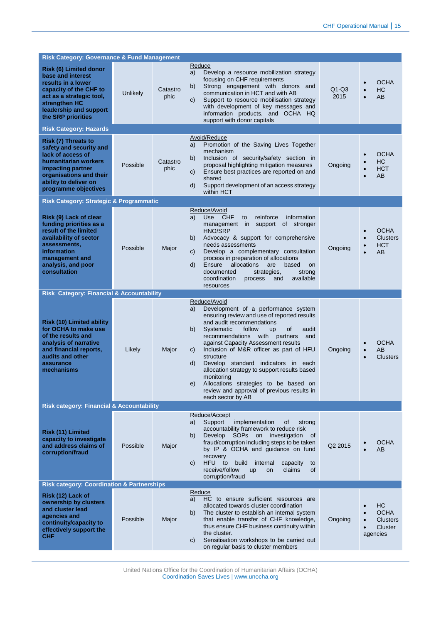| <b>Risk Category: Governance &amp; Fund Management</b>                                                                                                                                          |                 |                  |                                                                                                                                                                                                                                                                                                                                                                                                                                                                                                                                                                                     |                 |                                                                 |  |  |
|-------------------------------------------------------------------------------------------------------------------------------------------------------------------------------------------------|-----------------|------------------|-------------------------------------------------------------------------------------------------------------------------------------------------------------------------------------------------------------------------------------------------------------------------------------------------------------------------------------------------------------------------------------------------------------------------------------------------------------------------------------------------------------------------------------------------------------------------------------|-----------------|-----------------------------------------------------------------|--|--|
| <b>Risk (6) Limited donor</b><br>base and interest<br>results in a lower<br>capacity of the CHF to<br>act as a strategic tool,<br>strengthen HC<br>leadership and support<br>the SRP priorities | <b>Unlikely</b> | Catastro<br>phic | Reduce<br>Develop a resource mobilization strategy<br>a)<br>focusing on CHF requirements<br>Strong engagement with donors and<br>b)<br>communication in HCT and with AB<br>Support to resource mobilisation strategy<br>$\mathsf{C}$<br>with development of key messages and<br>information products, and OCHA HQ<br>support with donor capitals                                                                                                                                                                                                                                    | $Q1-Q3$<br>2015 | <b>OCHA</b><br>HC<br>AB                                         |  |  |
| <b>Risk Category: Hazards</b>                                                                                                                                                                   |                 |                  |                                                                                                                                                                                                                                                                                                                                                                                                                                                                                                                                                                                     |                 |                                                                 |  |  |
| Risk (7) Threats to<br>safety and security and<br>lack of access of<br>humanitarian workers<br>impacting partner<br>organisations and their<br>ability to deliver on<br>programme objectives    | Possible        | Catastro<br>phic | Avoid/Reduce<br>Promotion of the Saving Lives Together<br>a)<br>mechanism<br>Inclusion of security/safety section in<br>b)<br>proposal highlighting mitigation measures<br>Ensure best practices are reported on and<br>C)<br>shared<br>Support development of an access strategy<br>d)<br>within HCT                                                                                                                                                                                                                                                                               | Ongoing         | <b>OCHA</b><br>НC<br><b>HCT</b><br>AB                           |  |  |
| <b>Risk Category: Strategic &amp; Programmatic</b>                                                                                                                                              |                 |                  |                                                                                                                                                                                                                                                                                                                                                                                                                                                                                                                                                                                     |                 |                                                                 |  |  |
| Risk (9) Lack of clear<br>funding priorities as a<br>result of the limited<br>availability of sector<br>assessments,<br>information<br>management and<br>analysis, and poor<br>consultation     | Possible        | Major            | Reduce/Avoid<br><b>Use</b><br><b>CHF</b><br>a)<br>reinforce<br>information<br>to<br>management in support of stronger<br><b>HNO/SRP</b><br>Advocacy & support for comprehensive<br>b)<br>needs assessments<br>Develop a complementary consultation<br>C)<br>process in preparation of allocations<br>$\mathsf{d}$<br>Ensure<br>allocations<br>based<br>are<br>on<br>strategies,<br>documented<br>strong<br>available<br>coordination<br>process<br>and<br>resources                                                                                                                 | Ongoing         | <b>OCHA</b><br>$\bullet$<br><b>Clusters</b><br><b>HCT</b><br>AB |  |  |
| <b>Risk Category: Financial &amp; Accountability</b>                                                                                                                                            |                 |                  |                                                                                                                                                                                                                                                                                                                                                                                                                                                                                                                                                                                     |                 |                                                                 |  |  |
| <b>Risk (10) Limited ability</b><br>for OCHA to make use<br>of the results and<br>analysis of narrative<br>and financial reports,<br>audits and other<br>assurance<br>mechanisms                | Likely          | Major            | Reduce/Avoid<br>Development of a performance system<br>a)<br>ensuring review and use of reported results<br>and audit recommendations<br>b)<br>Systematic<br>follow<br>of<br><b>up</b><br>audit<br>recommendations with partners<br>and<br>against Capacity Assessment results<br>Inclusion of M&R officer as part of HFU<br>$\mathsf{C}$<br>structure<br>d)<br>Develop standard indicators in each<br>allocation strategy to support results based<br>monitoring<br>Allocations strategies to be based on<br>e)<br>review and approval of previous results in<br>each sector by AB | Ongoing         | <b>OCHA</b><br>AB<br><b>Clusters</b>                            |  |  |
| <b>Risk category: Financial &amp; Accountability</b>                                                                                                                                            |                 |                  |                                                                                                                                                                                                                                                                                                                                                                                                                                                                                                                                                                                     |                 |                                                                 |  |  |
| Risk (11) Limited<br>capacity to investigate<br>and address claims of<br>corruption/fraud                                                                                                       | Possible        | Major            | Reduce/Accept<br>a)<br>Support<br>implementation<br>οf<br>strong<br>accountability framework to reduce risk<br>Develop SOPs on investigation of<br>b)<br>fraud/corruption including steps to be taken<br>by IP & OCHA and guidance on fund<br>recovery<br>HFU to<br>build<br>internal<br>$\mathsf{C}$<br>capacity<br>to<br>receive/follow<br>claims<br><b>of</b><br><b>up</b><br>on<br>corruption/fraud                                                                                                                                                                             | Q2 2015         | <b>OCHA</b><br>AB                                               |  |  |
| <b>Risk category: Coordination &amp; Partnerships</b>                                                                                                                                           |                 |                  |                                                                                                                                                                                                                                                                                                                                                                                                                                                                                                                                                                                     |                 |                                                                 |  |  |
| Risk (12) Lack of<br>ownership by clusters<br>and cluster lead<br>agencies and<br>continuity/capacity to<br>effectively support the<br>CHF                                                      | Possible        | Major            | Reduce<br>HC to ensure sufficient resources are<br>a)<br>allocated towards cluster coordination<br>The cluster to establish an internal system<br>b)<br>that enable transfer of CHF knowledge,<br>thus ensure CHF business continuity within<br>the cluster.<br>Sensitisation workshops to be carried out<br>$\mathsf{C}$<br>on regular basis to cluster members                                                                                                                                                                                                                    | Ongoing         | HC<br><b>OCHA</b><br><b>Clusters</b><br>Cluster<br>agencies     |  |  |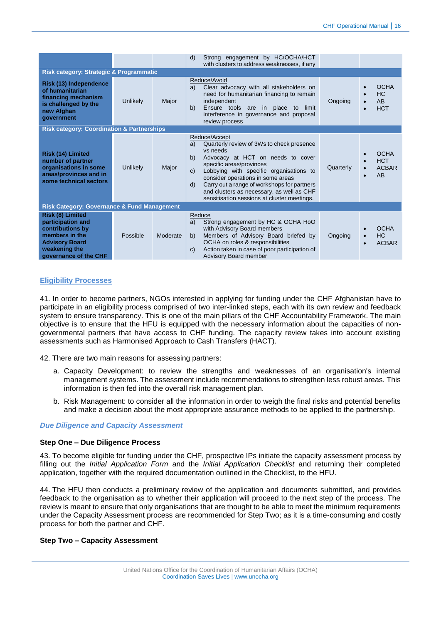|                                                                                                                                                |                 |          | Strong engagement by HC/OCHA/HCT<br>d)<br>with clusters to address weaknesses, if any                                                                                                                                                                                                                                                                                                                             |                                                 |  |  |  |
|------------------------------------------------------------------------------------------------------------------------------------------------|-----------------|----------|-------------------------------------------------------------------------------------------------------------------------------------------------------------------------------------------------------------------------------------------------------------------------------------------------------------------------------------------------------------------------------------------------------------------|-------------------------------------------------|--|--|--|
| <b>Risk category: Strategic &amp; Programmatic</b>                                                                                             |                 |          |                                                                                                                                                                                                                                                                                                                                                                                                                   |                                                 |  |  |  |
| Risk (13) Independence<br>of humanitarian<br>financing mechanism<br>is challenged by the<br>new Afghan<br>government                           | <b>Unlikely</b> | Major    | Reduce/Avoid<br>Clear advocacy with all stakeholders on<br>a)<br>need for humanitarian financing to remain<br>independent<br>Ongoing<br>b)<br>Ensure tools are in place to<br>limit<br>interference in governance and proposal<br>review process                                                                                                                                                                  | <b>OCHA</b><br><b>HC</b><br>AB<br><b>HCT</b>    |  |  |  |
| <b>Risk category: Coordination &amp; Partnerships</b>                                                                                          |                 |          |                                                                                                                                                                                                                                                                                                                                                                                                                   |                                                 |  |  |  |
| Risk (14) Limited<br>number of partner<br>organisations in some<br>areas/provinces and in<br>some technical sectors                            | <b>Unlikely</b> | Major    | Reduce/Accept<br>Quarterly review of 3Ws to check presence<br>a)<br>vs needs<br>b)<br>Advocacy at HCT on needs to cover<br>specific areas/provinces<br>Quarterly<br>Lobbying with specific organisations to<br>$\mathsf{C}$<br>consider operations in some areas<br>Carry out a range of workshops for partners<br>d)<br>and clusters as necessary, as well as CHF<br>sensitisation sessions at cluster meetings. | <b>OCHA</b><br><b>HCT</b><br><b>ACBAR</b><br>AB |  |  |  |
| <b>Risk Category: Governance &amp; Fund Management</b>                                                                                         |                 |          |                                                                                                                                                                                                                                                                                                                                                                                                                   |                                                 |  |  |  |
| Risk (8) Limited<br>participation and<br>contributions by<br>members in the<br><b>Advisory Board</b><br>weakening the<br>governance of the CHF | Possible        | Moderate | Reduce<br>Strong engagement by HC & OCHA HoO<br>a)<br>with Advisory Board members<br>Members of Advisory Board briefed by<br>b)<br>Ongoing<br>OCHA on roles & responsibilities<br>Action taken in case of poor participation of<br>$\mathbf{C}$<br><b>Advisory Board member</b>                                                                                                                                   | <b>OCHA</b><br>HC<br><b>ACBAR</b><br>$\bullet$  |  |  |  |

#### <span id="page-15-0"></span>**Eligibility Processes**

41. In order to become partners, NGOs interested in applying for funding under the CHF Afghanistan have to participate in an eligibility process comprised of two inter-linked steps, each with its own review and feedback system to ensure transparency. This is one of the main pillars of the CHF Accountability Framework. The main objective is to ensure that the HFU is equipped with the necessary information about the capacities of nongovernmental partners that have access to CHF funding. The capacity review takes into account existing assessments such as Harmonised Approach to Cash Transfers (HACT).

42. There are two main reasons for assessing partners:

- a. Capacity Development: to review the strengths and weaknesses of an organisation's internal management systems. The assessment include recommendations to strengthen less robust areas. This information is then fed into the overall risk management plan.
- b. Risk Management: to consider all the information in order to weigh the final risks and potential benefits and make a decision about the most appropriate assurance methods to be applied to the partnership.

#### *Due Diligence and Capacity Assessment*

#### **Step One – Due Diligence Process**

43. To become eligible for funding under the CHF, prospective IPs initiate the capacity assessment process by filling out the *Initial Application Form* and the *Initial Application Checklist* and returning their completed application, together with the required documentation outlined in the Checklist, to the HFU.

44. The HFU then conducts a preliminary review of the application and documents submitted, and provides feedback to the organisation as to whether their application will proceed to the next step of the process. The review is meant to ensure that only organisations that are thought to be able to meet the minimum requirements under the Capacity Assessment process are recommended for Step Two; as it is a time-consuming and costly process for both the partner and CHF.

#### **Step Two – Capacity Assessment**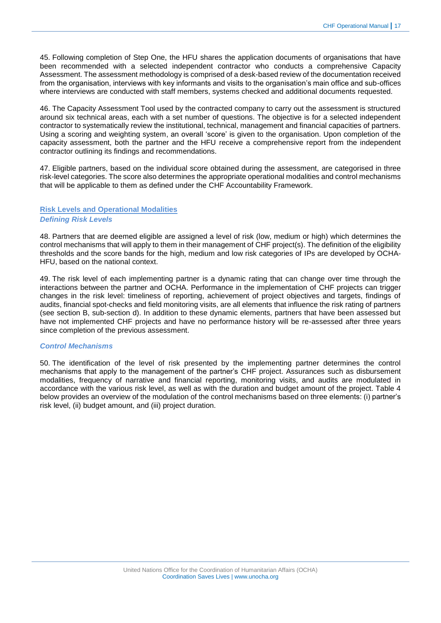45. Following completion of Step One, the HFU shares the application documents of organisations that have been recommended with a selected independent contractor who conducts a comprehensive Capacity Assessment. The assessment methodology is comprised of a desk-based review of the documentation received from the organisation, interviews with key informants and visits to the organisation's main office and sub-offices where interviews are conducted with staff members, systems checked and additional documents requested.

46. The Capacity Assessment Tool used by the contracted company to carry out the assessment is structured around six technical areas, each with a set number of questions. The objective is for a selected independent contractor to systematically review the institutional, technical, management and financial capacities of partners. Using a scoring and weighting system, an overall 'score' is given to the organisation. Upon completion of the capacity assessment, both the partner and the HFU receive a comprehensive report from the independent contractor outlining its findings and recommendations.

47. Eligible partners, based on the individual score obtained during the assessment, are categorised in three risk-level categories. The score also determines the appropriate operational modalities and control mechanisms that will be applicable to them as defined under the CHF Accountability Framework.

# <span id="page-16-0"></span>**Risk Levels and Operational Modalities** *Defining Risk Levels*

48. Partners that are deemed eligible are assigned a level of risk (low, medium or high) which determines the control mechanisms that will apply to them in their management of CHF project(s). The definition of the eligibility thresholds and the score bands for the high, medium and low risk categories of IPs are developed by OCHA-HFU, based on the national context.

49. The risk level of each implementing partner is a dynamic rating that can change over time through the interactions between the partner and OCHA. Performance in the implementation of CHF projects can trigger changes in the risk level: timeliness of reporting, achievement of project objectives and targets, findings of audits, financial spot-checks and field monitoring visits, are all elements that influence the risk rating of partners (see section B, sub-section d). In addition to these dynamic elements, partners that have been assessed but have not implemented CHF projects and have no performance history will be re-assessed after three years since completion of the previous assessment.

#### *Control Mechanisms*

50. The identification of the level of risk presented by the implementing partner determines the control mechanisms that apply to the management of the partner's CHF project. Assurances such as disbursement modalities, frequency of narrative and financial reporting, monitoring visits, and audits are modulated in accordance with the various risk level, as well as with the duration and budget amount of the project. Table 4 below provides an overview of the modulation of the control mechanisms based on three elements: (i) partner's risk level, (ii) budget amount, and (iii) project duration.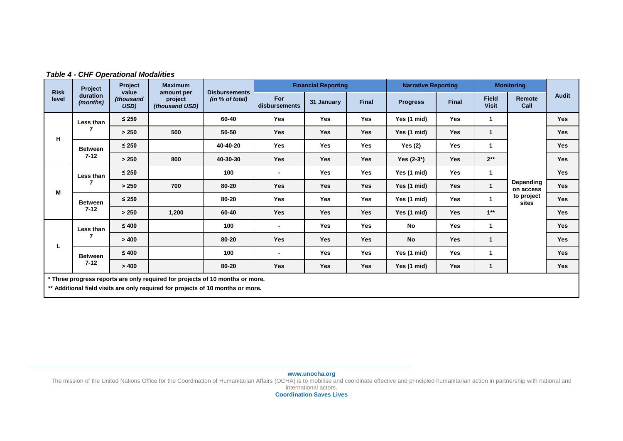|                      | Project<br>duration<br>(months)                                                                                                                                  | Project<br>value<br>(thousand<br>USD) | <b>Maximum</b>                          |                                         |                          | <b>Financial Reporting</b> |              | <b>Narrative Reporting</b> |            |                              | <b>Monitoring</b>             |              |
|----------------------|------------------------------------------------------------------------------------------------------------------------------------------------------------------|---------------------------------------|-----------------------------------------|-----------------------------------------|--------------------------|----------------------------|--------------|----------------------------|------------|------------------------------|-------------------------------|--------------|
| <b>Risk</b><br>level |                                                                                                                                                                  |                                       | amount per<br>project<br>(thousand USD) | <b>Disbursements</b><br>(in % of total) | For<br>disbursements     | 31 January                 | <b>Final</b> | <b>Progress</b>            | Final      | <b>Field</b><br><b>Visit</b> | Remote<br>Call                | <b>Audit</b> |
|                      | Less than                                                                                                                                                        | $\leq 250$                            |                                         | 60-40                                   | Yes                      | <b>Yes</b>                 | <b>Yes</b>   | Yes (1 mid)                | <b>Yes</b> | 1                            |                               | <b>Yes</b>   |
| н                    |                                                                                                                                                                  | > 250                                 | 500                                     | 50-50                                   | <b>Yes</b>               | <b>Yes</b>                 | <b>Yes</b>   | Yes (1 mid)                | <b>Yes</b> | $\mathbf{1}$                 |                               | <b>Yes</b>   |
|                      | <b>Between</b>                                                                                                                                                   | $\leq 250$                            |                                         | 40-40-20                                | Yes                      | Yes                        | <b>Yes</b>   | Yes $(2)$                  | Yes        | -1                           |                               | <b>Yes</b>   |
|                      | $7 - 12$                                                                                                                                                         | > 250                                 | 800                                     | 40-30-30                                | Yes                      | <b>Yes</b>                 | <b>Yes</b>   | Yes $(2-3^*)$              | <b>Yes</b> | $2**$                        |                               | <b>Yes</b>   |
|                      | Less than                                                                                                                                                        | $\leq 250$                            |                                         | 100                                     | $\overline{\phantom{0}}$ | Yes                        | <b>Yes</b>   | Yes (1 mid)                | <b>Yes</b> | $\mathbf{1}$                 |                               | <b>Yes</b>   |
| M                    | 7                                                                                                                                                                | > 250                                 | 700                                     | 80-20                                   | Yes                      | Yes                        | Yes          | Yes (1 mid)                | Yes        | $\mathbf{1}$                 | <b>Depending</b><br>on access | <b>Yes</b>   |
|                      | <b>Between</b>                                                                                                                                                   | $\leq 250$                            |                                         | 80-20                                   | Yes                      | Yes                        | <b>Yes</b>   | Yes (1 mid)                | <b>Yes</b> | 1                            | to project<br>sites           | <b>Yes</b>   |
|                      | $7 - 12$                                                                                                                                                         | > 250                                 | 1,200                                   | 60-40                                   | <b>Yes</b>               | <b>Yes</b>                 | <b>Yes</b>   | Yes (1 mid)                | Yes        | $1**$                        |                               | <b>Yes</b>   |
|                      | Less than                                                                                                                                                        | $\leq 400$                            |                                         | 100                                     | $\overline{\phantom{0}}$ | Yes                        | <b>Yes</b>   | No                         | Yes        | -1                           |                               | <b>Yes</b>   |
|                      |                                                                                                                                                                  | > 400                                 |                                         | 80-20                                   | Yes                      | Yes                        | <b>Yes</b>   | <b>No</b>                  | Yes        | $\mathbf{1}$                 |                               | <b>Yes</b>   |
|                      | L<br><b>Between</b>                                                                                                                                              | $\leq 400$                            |                                         | 100                                     | $\overline{\phantom{a}}$ | Yes                        | <b>Yes</b>   | Yes (1 mid)                | <b>Yes</b> | -1                           |                               | <b>Yes</b>   |
|                      | $7 - 12$                                                                                                                                                         | > 400                                 |                                         | 80-20                                   | <b>Yes</b>               | Yes                        | Yes          | Yes (1 mid)                | Yes        | 1                            |                               | <b>Yes</b>   |
|                      | * Three progress reports are only required for projects of 10 months or more.<br>** Additional field visits are only required for projects of 10 months or more. |                                       |                                         |                                         |                          |                            |              |                            |            |                              |                               |              |

# *Table 4 - CHF Operational Modalities*

**www.unocha.org**

The mission of the United Nations Office for the Coordination of Humanitarian Affairs (OCHA) is to mobilise and coordinate effective and principled humanitarian action in partnership with national and

international actors.

**Coordination Saves Lives**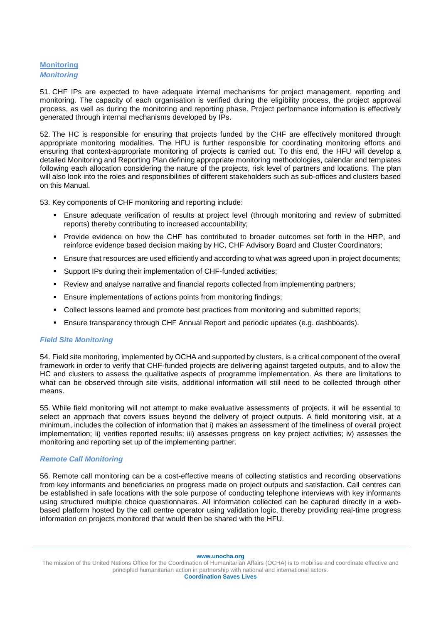# <span id="page-18-0"></span>**Monitoring**  *Monitoring*

51. CHF IPs are expected to have adequate internal mechanisms for project management, reporting and monitoring. The capacity of each organisation is verified during the eligibility process, the project approval process, as well as during the monitoring and reporting phase. Project performance information is effectively generated through internal mechanisms developed by IPs.

52. The HC is responsible for ensuring that projects funded by the CHF are effectively monitored through appropriate monitoring modalities. The HFU is further responsible for coordinating monitoring efforts and ensuring that context-appropriate monitoring of projects is carried out. To this end, the HFU will develop a detailed Monitoring and Reporting Plan defining appropriate monitoring methodologies, calendar and templates following each allocation considering the nature of the projects, risk level of partners and locations. The plan will also look into the roles and responsibilities of different stakeholders such as sub-offices and clusters based on this Manual.

53. Key components of CHF monitoring and reporting include:

- Ensure adequate verification of results at project level (through monitoring and review of submitted reports) thereby contributing to increased accountability;
- Provide evidence on how the CHF has contributed to broader outcomes set forth in the HRP, and reinforce evidence based decision making by HC, CHF Advisory Board and Cluster Coordinators;
- Ensure that resources are used efficiently and according to what was agreed upon in project documents;
- Support IPs during their implementation of CHF-funded activities;
- **Review and analyse narrative and financial reports collected from implementing partners;**
- Ensure implementations of actions points from monitoring findings;
- Collect lessons learned and promote best practices from monitoring and submitted reports;
- Ensure transparency through CHF Annual Report and periodic updates (e.g. dashboards).

#### *Field Site Monitoring*

54. Field site monitoring, implemented by OCHA and supported by clusters, is a critical component of the overall framework in order to verify that CHF-funded projects are delivering against targeted outputs, and to allow the HC and clusters to assess the qualitative aspects of programme implementation. As there are limitations to what can be observed through site visits, additional information will still need to be collected through other means.

55. While field monitoring will not attempt to make evaluative assessments of projects, it will be essential to select an approach that covers issues beyond the delivery of project outputs. A field monitoring visit, at a minimum, includes the collection of information that i) makes an assessment of the timeliness of overall project implementation; ii) verifies reported results; iii) assesses progress on key project activities; iv) assesses the monitoring and reporting set up of the implementing partner.

#### *Remote Call Monitoring*

56. Remote call monitoring can be a cost-effective means of collecting statistics and recording observations from key informants and beneficiaries on progress made on project outputs and satisfaction. Call centres can be established in safe locations with the sole purpose of conducting telephone interviews with key informants using structured multiple choice questionnaires. All information collected can be captured directly in a webbased platform hosted by the call centre operator using validation logic, thereby providing real-time progress information on projects monitored that would then be shared with the HFU.

**www.unocha.org**

The mission of the United Nations Office for the Coordination of Humanitarian Affairs (OCHA) is to mobilise and coordinate effective and principled humanitarian action in partnership with national and international actors. **Coordination Saves Lives**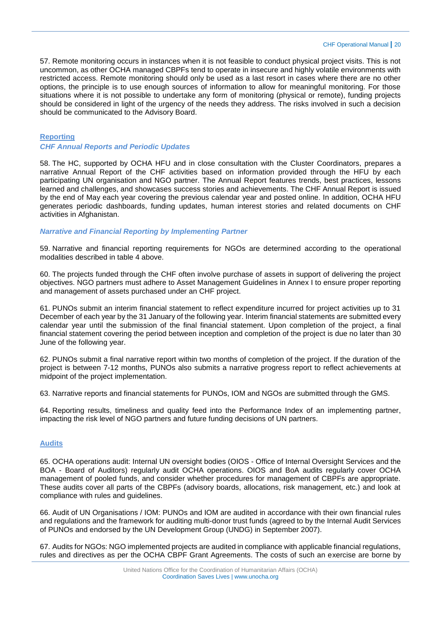57. Remote monitoring occurs in instances when it is not feasible to conduct physical project visits. This is not uncommon, as other OCHA managed CBPFs tend to operate in insecure and highly volatile environments with restricted access. Remote monitoring should only be used as a last resort in cases where there are no other options, the principle is to use enough sources of information to allow for meaningful monitoring. For those situations where it is not possible to undertake any form of monitoring (physical or remote), funding projects should be considered in light of the urgency of the needs they address. The risks involved in such a decision should be communicated to the Advisory Board.

#### <span id="page-19-0"></span>**Reporting**

## *CHF Annual Reports and Periodic Updates*

58. The HC, supported by OCHA HFU and in close consultation with the Cluster Coordinators, prepares a narrative Annual Report of the CHF activities based on information provided through the HFU by each participating UN organisation and NGO partner. The Annual Report features trends, best practices, lessons learned and challenges, and showcases success stories and achievements. The CHF Annual Report is issued by the end of May each year covering the previous calendar year and posted online. In addition, OCHA HFU generates periodic dashboards, funding updates, human interest stories and related documents on CHF activities in Afghanistan.

## *Narrative and Financial Reporting by Implementing Partner*

59. Narrative and financial reporting requirements for NGOs are determined according to the operational modalities described in table 4 above.

60. The projects funded through the CHF often involve purchase of assets in support of delivering the project objectives. NGO partners must adhere to Asset Management Guidelines in Annex I to ensure proper reporting and management of assets purchased under an CHF project.

61. PUNOs submit an interim financial statement to reflect expenditure incurred for project activities up to 31 December of each year by the 31 January of the following year. Interim financial statements are submitted every calendar year until the submission of the final financial statement. Upon completion of the project, a final financial statement covering the period between inception and completion of the project is due no later than 30 June of the following year.

62. PUNOs submit a final narrative report within two months of completion of the project. If the duration of the project is between 7-12 months, PUNOs also submits a narrative progress report to reflect achievements at midpoint of the project implementation.

63. Narrative reports and financial statements for PUNOs, IOM and NGOs are submitted through the GMS.

64. Reporting results, timeliness and quality feed into the Performance Index of an implementing partner, impacting the risk level of NGO partners and future funding decisions of UN partners.

# <span id="page-19-1"></span>**Audits**

65. OCHA operations audit: Internal UN oversight bodies (OIOS - Office of Internal Oversight Services and the BOA - Board of Auditors) regularly audit OCHA operations. OIOS and BoA audits regularly cover OCHA management of pooled funds, and consider whether procedures for management of CBPFs are appropriate. These audits cover all parts of the CBPFs (advisory boards, allocations, risk management, etc.) and look at compliance with rules and guidelines.

66. Audit of UN Organisations / IOM: PUNOs and IOM are audited in accordance with their own financial rules and regulations and the framework for auditing multi-donor trust funds (agreed to by the Internal Audit Services of PUNOs and endorsed by the UN Development Group (UNDG) in September 2007).

67. Audits for NGOs: NGO implemented projects are audited in compliance with applicable financial regulations, rules and directives as per the OCHA CBPF Grant Agreements. The costs of such an exercise are borne by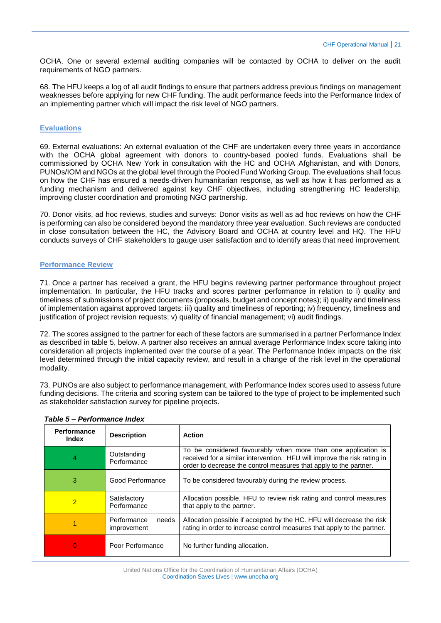OCHA. One or several external auditing companies will be contacted by OCHA to deliver on the audit requirements of NGO partners.

68. The HFU keeps a log of all audit findings to ensure that partners address previous findings on management weaknesses before applying for new CHF funding. The audit performance feeds into the Performance Index of an implementing partner which will impact the risk level of NGO partners.

# <span id="page-20-0"></span>**Evaluations**

69. External evaluations: An external evaluation of the CHF are undertaken every three years in accordance with the OCHA global agreement with donors to country-based pooled funds. Evaluations shall be commissioned by OCHA New York in consultation with the HC and OCHA Afghanistan, and with Donors, PUNOs/IOM and NGOs at the global level through the Pooled Fund Working Group. The evaluations shall focus on how the CHF has ensured a needs-driven humanitarian response, as well as how it has performed as a funding mechanism and delivered against key CHF objectives, including strengthening HC leadership, improving cluster coordination and promoting NGO partnership.

70. Donor visits, ad hoc reviews, studies and surveys: Donor visits as well as ad hoc reviews on how the CHF is performing can also be considered beyond the mandatory three year evaluation. Such reviews are conducted in close consultation between the HC, the Advisory Board and OCHA at country level and HQ. The HFU conducts surveys of CHF stakeholders to gauge user satisfaction and to identify areas that need improvement.

# <span id="page-20-1"></span>**Performance Review**

71. Once a partner has received a grant, the HFU begins reviewing partner performance throughout project implementation. In particular, the HFU tracks and scores partner performance in relation to i) quality and timeliness of submissions of project documents (proposals, budget and concept notes); ii) quality and timeliness of implementation against approved targets; iii) quality and timeliness of reporting; iv) frequency, timeliness and justification of project revision requests; v) quality of financial management; vi) audit findings.

72. The scores assigned to the partner for each of these factors are summarised in a partner Performance Index as described in table 5, below. A partner also receives an annual average Performance Index score taking into consideration all projects implemented over the course of a year. The Performance Index impacts on the risk level determined through the initial capacity review, and result in a change of the risk level in the operational modality.

73. PUNOs are also subject to performance management, with Performance Index scores used to assess future funding decisions. The criteria and scoring system can be tailored to the type of project to be implemented such as stakeholder satisfaction survey for pipeline projects.

| Performance<br><b>Index</b> | <b>Description</b>                  | <b>Action</b>                                                                                                                                                                                                  |
|-----------------------------|-------------------------------------|----------------------------------------------------------------------------------------------------------------------------------------------------------------------------------------------------------------|
| 4                           | Outstanding<br>Performance          | To be considered favourably when more than one application is<br>received for a similar intervention. HFU will improve the risk rating in<br>order to decrease the control measures that apply to the partner. |
| 3                           | Good Performance                    | To be considered favourably during the review process.                                                                                                                                                         |
| $\overline{2}$              | Satisfactory<br>Performance         | Allocation possible. HFU to review risk rating and control measures<br>that apply to the partner.                                                                                                              |
|                             | Performance<br>needs<br>improvement | Allocation possible if accepted by the HC. HFU will decrease the risk<br>rating in order to increase control measures that apply to the partner.                                                               |
| O                           | Poor Performance                    | No further funding allocation.                                                                                                                                                                                 |

*Table 5 – Performance Index*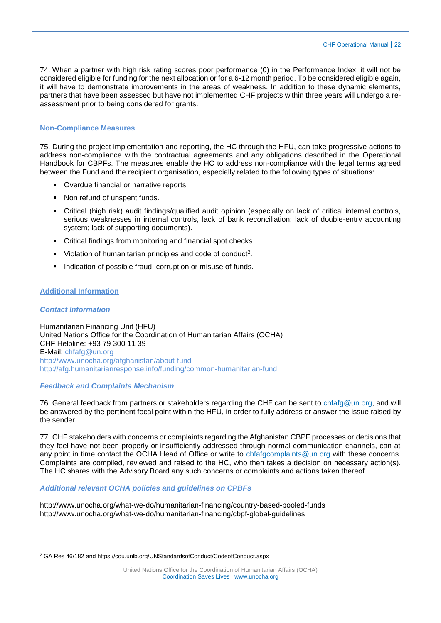74. When a partner with high risk rating scores poor performance (0) in the Performance Index, it will not be considered eligible for funding for the next allocation or for a 6-12 month period. To be considered eligible again, it will have to demonstrate improvements in the areas of weakness. In addition to these dynamic elements, partners that have been assessed but have not implemented CHF projects within three years will undergo a reassessment prior to being considered for grants.

# <span id="page-21-0"></span>**Non-Compliance Measures**

75. During the project implementation and reporting, the HC through the HFU, can take progressive actions to address non-compliance with the contractual agreements and any obligations described in the Operational Handbook for CBPFs. The measures enable the HC to address non-compliance with the legal terms agreed between the Fund and the recipient organisation, especially related to the following types of situations:

- Overdue financial or narrative reports.
- Non refund of unspent funds.
- Critical (high risk) audit findings/qualified audit opinion (especially on lack of critical internal controls, serious weaknesses in internal controls, lack of bank reconciliation; lack of double-entry accounting system; lack of supporting documents).
- Critical findings from monitoring and financial spot checks.
- Violation of humanitarian principles and code of conduct<sup>2</sup>.
- **Indication of possible fraud, corruption or misuse of funds.**

#### <span id="page-21-1"></span>**Additional Information**

#### *Contact Information*

 $\overline{a}$ 

Humanitarian Financing Unit (HFU) United Nations Office for the Coordination of Humanitarian Affairs (OCHA) CHF Helpline: +93 79 300 11 39 E-Mail: [chfafg@un.org](mailto:chfafg@un.org) <http://www.unocha.org/afghanistan/about-fund> <http://afg.humanitarianresponse.info/funding/common-humanitarian-fund>

#### *Feedback and Complaints Mechanism*

76. General feedback from partners or stakeholders regarding the CHF can be sent to [chfafg@un.org,](mailto:chfafg@un.org) and will be answered by the pertinent focal point within the HFU, in order to fully address or answer the issue raised by the sender.

77. CHF stakeholders with concerns or complaints regarding the Afghanistan CBPF processes or decisions that they feel have not been properly or insufficiently addressed through normal communication channels, can at any point in time contact the OCHA Head of Office or write to [chfafgcomplaints@un.org](mailto:chfafgcomplaints@un.org) with these concerns. Complaints are compiled, reviewed and raised to the HC, who then takes a decision on necessary action(s). The HC shares with the Advisory Board any such concerns or complaints and actions taken thereof.

#### *Additional relevant OCHA policies and guidelines on CPBFs*

<http://www.unocha.org/what-we-do/humanitarian-financing/country-based-pooled-funds> <http://www.unocha.org/what-we-do/humanitarian-financing/cbpf-global-guidelines>

<sup>2</sup> [GA Res 46/182](http://www.un.org/documents/ga/res/46/a46r182.htm) an[d https://cdu.unlb.org/UNStandardsofConduct/CodeofConduct.aspx](https://cdu.unlb.org/UNStandardsofConduct/CodeofConduct.aspx)